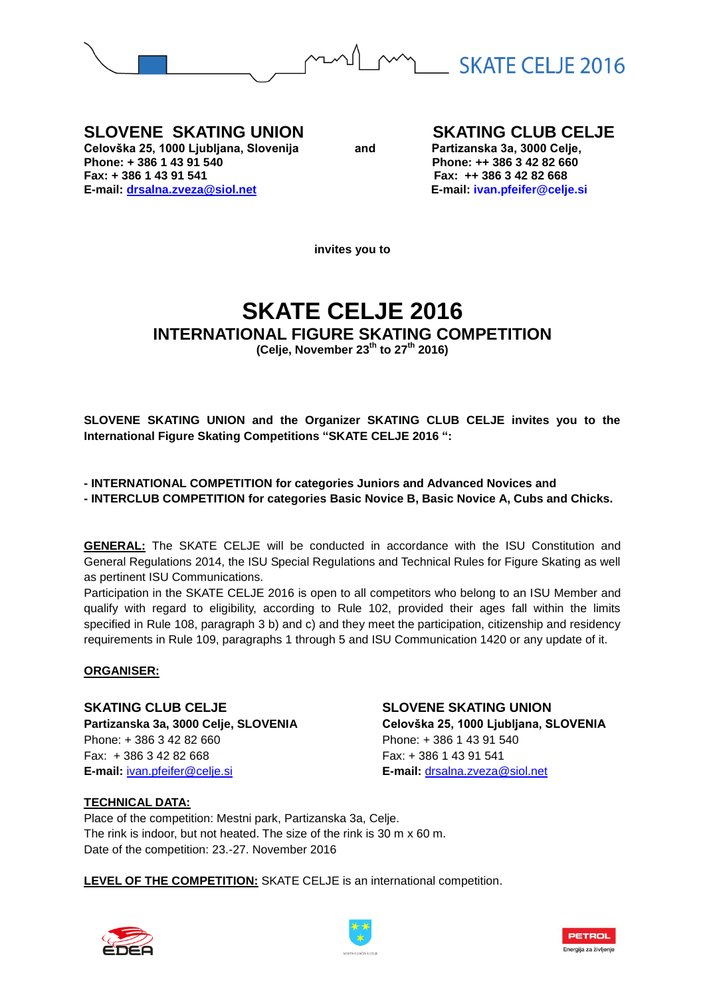

**SLOVENE SKATING UNION SKATING CLUB CELJE**<br>
Celovška 25, 1000 Ljubljana, Slovenija and Partizanska 3a, 3000 Celje, Celovška 25, 1000 Ljubljana, Slovenija **and** and Phone: + 386 1 43 91 540 **Fax: + 386 1 43 91 541 Fax: ++ 386 3 42 82 668 E-mail: [drsalna.zveza@siol.net](mailto:drsalna.zveza@siol.net) E-mail: ivan.pfeifer@celje.si** 

**Phone: + 386 1 43 91 540 Phone: ++ 386 3 42 82 660**

**invites you to**

# **SKATE CELJE 2016 INTERNATIONAL FIGURE SKATING COMPETITION**

**(Celje, November 23th to 27th 2016)**

**SLOVENE SKATING UNION and the Organizer SKATING CLUB CELJE invites you to the International Figure Skating Competitions "SKATE CELJE 2016 ":**

**- INTERNATIONAL COMPETITION for categories Juniors and Advanced Novices and**

**- INTERCLUB COMPETITION for categories Basic Novice B, Basic Novice A, Cubs and Chicks.**

**GENERAL:** The SKATE CELJE will be conducted in accordance with the ISU Constitution and General Regulations 2014, the ISU Special Regulations and Technical Rules for Figure Skating as well as pertinent ISU Communications.

Participation in the SKATE CELJE 2016 is open to all competitors who belong to an ISU Member and qualify with regard to eligibility, according to Rule 102, provided their ages fall within the limits specified in Rule 108, paragraph 3 b) and c) and they meet the participation, citizenship and residency requirements in Rule 109, paragraphs 1 through 5 and ISU Communication 1420 or any update of it.

## **ORGANISER:**

**SKATING CLUB CELJE SLOVENE SKATING UNION** Phone: + 386 3 42 82 660 Phone: + 386 1 43 91 540 Fax: + 386 3 42 82 668 Fax: + 386 1 43 91 541 **E-mail:** [ivan.pfeifer@celje.si](mailto:ivan.pfeifer@celje.si) **E-mail:** [drsalna.zveza@siol.net](mailto:drsalna.zveza@siol.net)

**Partizanska 3a, 3000 Celje, SLOVENIA Celovška 25, 1000 Ljubljana, SLOVENIA**

## **TECHNICAL DATA:**

Place of the competition: Mestni park, Partizanska 3a, Celje. The rink is indoor, but not heated. The size of the rink is 30 m x 60 m. Date of the competition: 23.-27. November 2016

**LEVEL OF THE COMPETITION:** SKATE CELJE is an international competition.





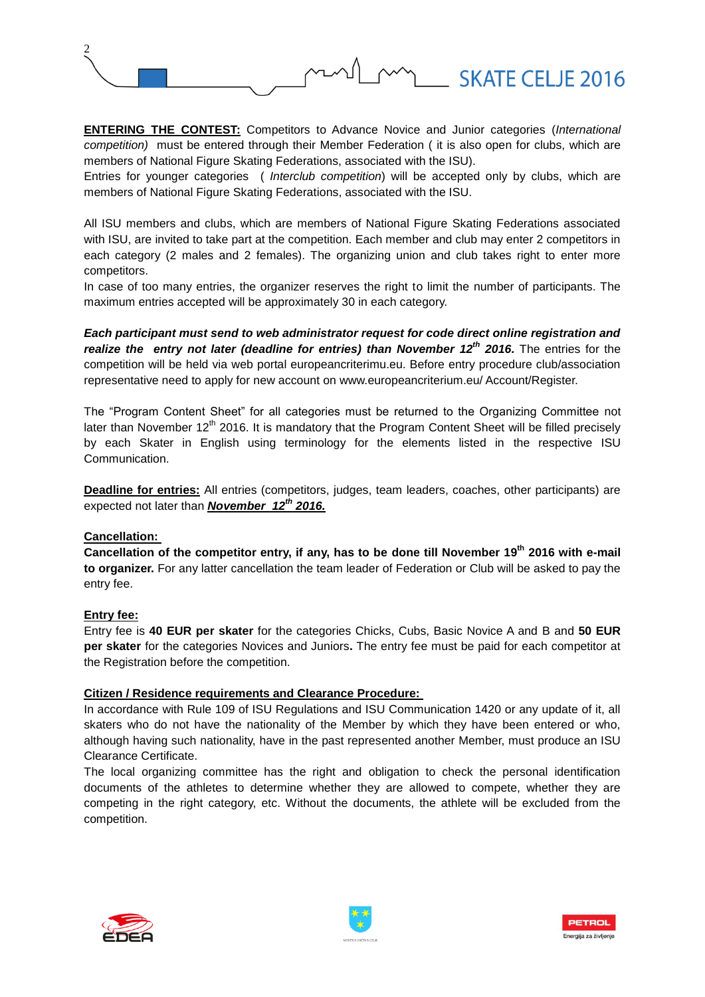

**ENTERING THE CONTEST:** Competitors to Advance Novice and Junior categories (*International competition)* must be entered through their Member Federation ( it is also open for clubs, which are members of National Figure Skating Federations, associated with the ISU).

Entries for younger categories ( *Interclub competition*) will be accepted only by clubs, which are members of National Figure Skating Federations, associated with the ISU.

All ISU members and clubs, which are members of National Figure Skating Federations associated with ISU, are invited to take part at the competition. Each member and club may enter 2 competitors in each category (2 males and 2 females). The organizing union and club takes right to enter more competitors.

In case of too many entries, the organizer reserves the right to limit the number of participants. The maximum entries accepted will be approximately 30 in each category.

*Each participant must send to web administrator request for code direct online registration and realize the entry not later (deadline for entries) than November 12th 2016.* The entries for the competition will be held via web portal europeancriterimu.eu. Before entry procedure club/association representative need to apply for new account on www.europeancriterium.eu/ Account/Register.

The "Program Content Sheet" for all categories must be returned to the Organizing Committee not later than November 12<sup>th</sup> 2016. It is mandatory that the Program Content Sheet will be filled precisely by each Skater in English using terminology for the elements listed in the respective ISU Communication.

**Deadline for entries:** All entries (competitors, judges, team leaders, coaches, other participants) are expected not later than *November 12th 2016.*

#### **Cancellation:**

**Cancellation of the competitor entry, if any, has to be done till November 19th 2016 with e-mail to organizer.** For any latter cancellation the team leader of Federation or Club will be asked to pay the entry fee.

#### **Entry fee:**

Entry fee is **40 EUR per skater** for the categories Chicks, Cubs, Basic Novice A and B and **50 EUR per skater** for the categories Novices and Juniors**.** The entry fee must be paid for each competitor at the Registration before the competition.

#### **Citizen / Residence requirements and Clearance Procedure:**

In accordance with Rule 109 of ISU Regulations and ISU Communication 1420 or any update of it, all skaters who do not have the nationality of the Member by which they have been entered or who, although having such nationality, have in the past represented another Member, must produce an ISU Clearance Certificate.

The local organizing committee has the right and obligation to check the personal identification documents of the athletes to determine whether they are allowed to compete, whether they are competing in the right category, etc. Without the documents, the athlete will be excluded from the competition.





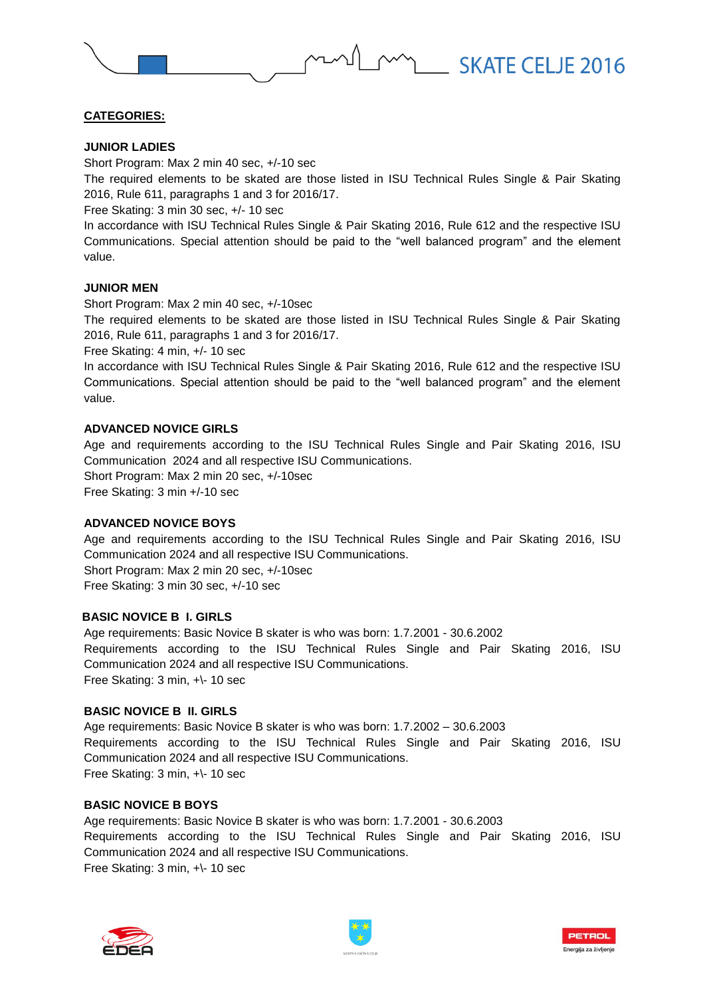# **CATEGORIES:**

#### **JUNIOR LADIES**

Short Program: Max 2 min 40 sec, +/-10 sec

The required elements to be skated are those listed in ISU Technical Rules Single & Pair Skating 2016, Rule 611, paragraphs 1 and 3 for 2016/17.

Free Skating: 3 min 30 sec, +/- 10 sec

In accordance with ISU Technical Rules Single & Pair Skating 2016, Rule 612 and the respective ISU Communications. Special attention should be paid to the "well balanced program" and the element value.

## **JUNIOR MEN**

Short Program: Max 2 min 40 sec, +/-10sec

The required elements to be skated are those listed in ISU Technical Rules Single & Pair Skating 2016, Rule 611, paragraphs 1 and 3 for 2016/17.

Free Skating: 4 min, +/- 10 sec

In accordance with ISU Technical Rules Single & Pair Skating 2016, Rule 612 and the respective ISU Communications. Special attention should be paid to the "well balanced program" and the element value.

#### **ADVANCED NOVICE GIRLS**

Age and requirements according to the ISU Technical Rules Single and Pair Skating 2016, ISU Communication 2024 and all respective ISU Communications. Short Program: Max 2 min 20 sec, +/-10sec Free Skating: 3 min +/-10 sec

## **ADVANCED NOVICE BOYS**

Age and requirements according to the ISU Technical Rules Single and Pair Skating 2016, ISU Communication 2024 and all respective ISU Communications.

Short Program: Max 2 min 20 sec, +/-10sec Free Skating: 3 min 30 sec, +/-10 sec

#### **BASIC NOVICE B I. GIRLS**

Age requirements: Basic Novice B skater is who was born: 1.7.2001 - 30.6.2002 Requirements according to the ISU Technical Rules Single and Pair Skating 2016, ISU Communication 2024 and all respective ISU Communications. Free Skating: 3 min, +\- 10 sec

#### **BASIC NOVICE B II. GIRLS**

Age requirements: Basic Novice B skater is who was born: 1.7.2002 – 30.6.2003 Requirements according to the ISU Technical Rules Single and Pair Skating 2016, ISU Communication 2024 and all respective ISU Communications. Free Skating: 3 min, +\- 10 sec

## **BASIC NOVICE B BOYS**

Age requirements: Basic Novice B skater is who was born: 1.7.2001 - 30.6.2003 Requirements according to the ISU Technical Rules Single and Pair Skating 2016, ISU Communication 2024 and all respective ISU Communications. Free Skating: 3 min, +\- 10 sec





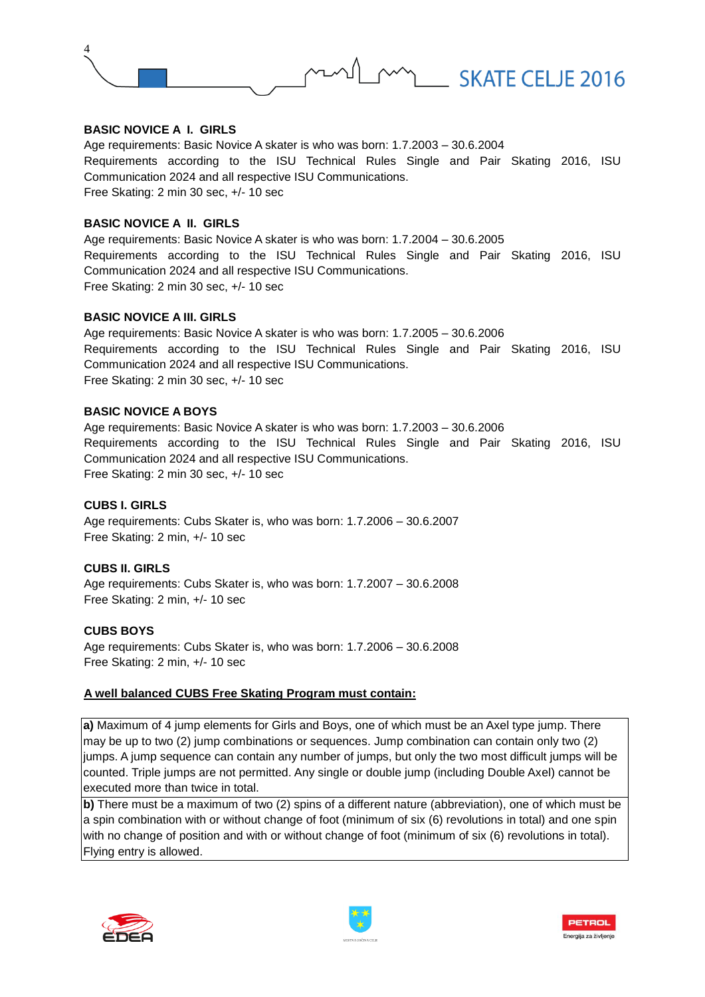

#### **BASIC NOVICE A I. GIRLS**

Age requirements: Basic Novice A skater is who was born: 1.7.2003 – 30.6.2004 Requirements according to the ISU Technical Rules Single and Pair Skating 2016, ISU Communication 2024 and all respective ISU Communications. Free Skating: 2 min 30 sec, +/- 10 sec

#### **BASIC NOVICE A II. GIRLS**

Age requirements: Basic Novice A skater is who was born: 1.7.2004 – 30.6.2005 Requirements according to the ISU Technical Rules Single and Pair Skating 2016, ISU Communication 2024 and all respective ISU Communications. Free Skating: 2 min 30 sec, +/- 10 sec

#### **BASIC NOVICE A III. GIRLS**

Age requirements: Basic Novice A skater is who was born: 1.7.2005 – 30.6.2006 Requirements according to the ISU Technical Rules Single and Pair Skating 2016, ISU Communication 2024 and all respective ISU Communications. Free Skating: 2 min 30 sec, +/- 10 sec

## **BASIC NOVICE A BOYS**

Age requirements: Basic Novice A skater is who was born: 1.7.2003 – 30.6.2006 Requirements according to the ISU Technical Rules Single and Pair Skating 2016, ISU Communication 2024 and all respective ISU Communications. Free Skating: 2 min 30 sec, +/- 10 sec

#### **CUBS I. GIRLS**

Age requirements: Cubs Skater is, who was born: 1.7.2006 – 30.6.2007 Free Skating: 2 min, +/- 10 sec

## **CUBS II. GIRLS**

Age requirements: Cubs Skater is, who was born: 1.7.2007 – 30.6.2008 Free Skating: 2 min, +/- 10 sec

#### **CUBS BOYS**

Age requirements: Cubs Skater is, who was born: 1.7.2006 – 30.6.2008 Free Skating: 2 min, +/- 10 sec

#### **A well balanced CUBS Free Skating Program must contain:**

**a)** Maximum of 4 jump elements for Girls and Boys, one of which must be an Axel type jump. There may be up to two (2) jump combinations or sequences. Jump combination can contain only two (2) jumps. A jump sequence can contain any number of jumps, but only the two most difficult jumps will be counted. Triple jumps are not permitted. Any single or double jump (including Double Axel) cannot be lexecuted more than twice in total.

**b)** There must be a maximum of two (2) spins of a different nature (abbreviation), one of which must be a spin combination with or without change of foot (minimum of six (6) revolutions in total) and one spin with no change of position and with or without change of foot (minimum of six (6) revolutions in total). Flying entry is allowed.





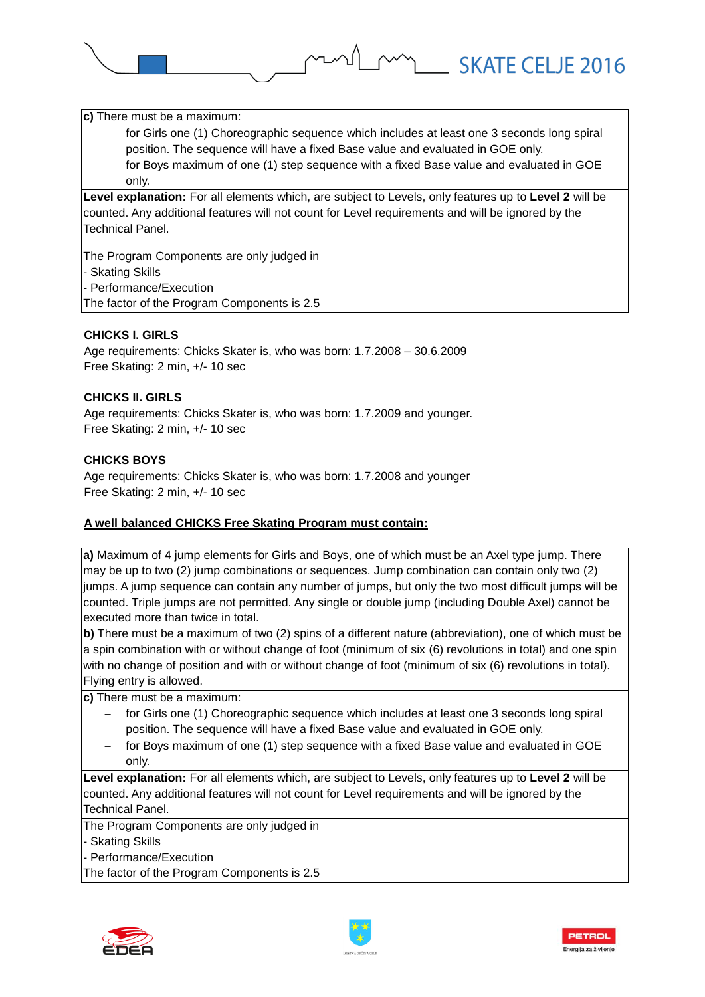**c)** There must be a maximum:

 for Girls one (1) Choreographic sequence which includes at least one 3 seconds long spiral position. The sequence will have a fixed Base value and evaluated in GOE only.

MALL SKATE CELJE 2016

 for Boys maximum of one (1) step sequence with a fixed Base value and evaluated in GOE only.

**Level explanation:** For all elements which, are subject to Levels, only features up to **Level 2** will be counted. Any additional features will not count for Level requirements and will be ignored by the Technical Panel.

The Program Components are only judged in - Skating Skills - Performance/Execution The factor of the Program Components is 2.5

# **CHICKS I. GIRLS**

Age requirements: Chicks Skater is, who was born: 1.7.2008 – 30.6.2009 Free Skating: 2 min, +/- 10 sec

# **CHICKS II. GIRLS**

Age requirements: Chicks Skater is, who was born: 1.7.2009 and younger. Free Skating: 2 min, +/- 10 sec

## **CHICKS BOYS**

Age requirements: Chicks Skater is, who was born: 1.7.2008 and younger Free Skating: 2 min, +/- 10 sec

## **A well balanced CHICKS Free Skating Program must contain:**

**a)** Maximum of 4 jump elements for Girls and Boys, one of which must be an Axel type jump. There may be up to two (2) jump combinations or sequences. Jump combination can contain only two (2) jumps. A jump sequence can contain any number of jumps, but only the two most difficult jumps will be counted. Triple jumps are not permitted. Any single or double jump (including Double Axel) cannot be executed more than twice in total.

**b)** There must be a maximum of two (2) spins of a different nature (abbreviation), one of which must be a spin combination with or without change of foot (minimum of six (6) revolutions in total) and one spin with no change of position and with or without change of foot (minimum of six (6) revolutions in total). Flying entry is allowed.

**c)** There must be a maximum:

- for Girls one (1) Choreographic sequence which includes at least one 3 seconds long spiral position. The sequence will have a fixed Base value and evaluated in GOE only.
- $-$  for Boys maximum of one (1) step sequence with a fixed Base value and evaluated in GOE only.

**Level explanation:** For all elements which, are subject to Levels, only features up to **Level 2** will be counted. Any additional features will not count for Level requirements and will be ignored by the Technical Panel.

The Program Components are only judged in

- Skating Skills

- Performance/Execution

The factor of the Program Components is 2.5





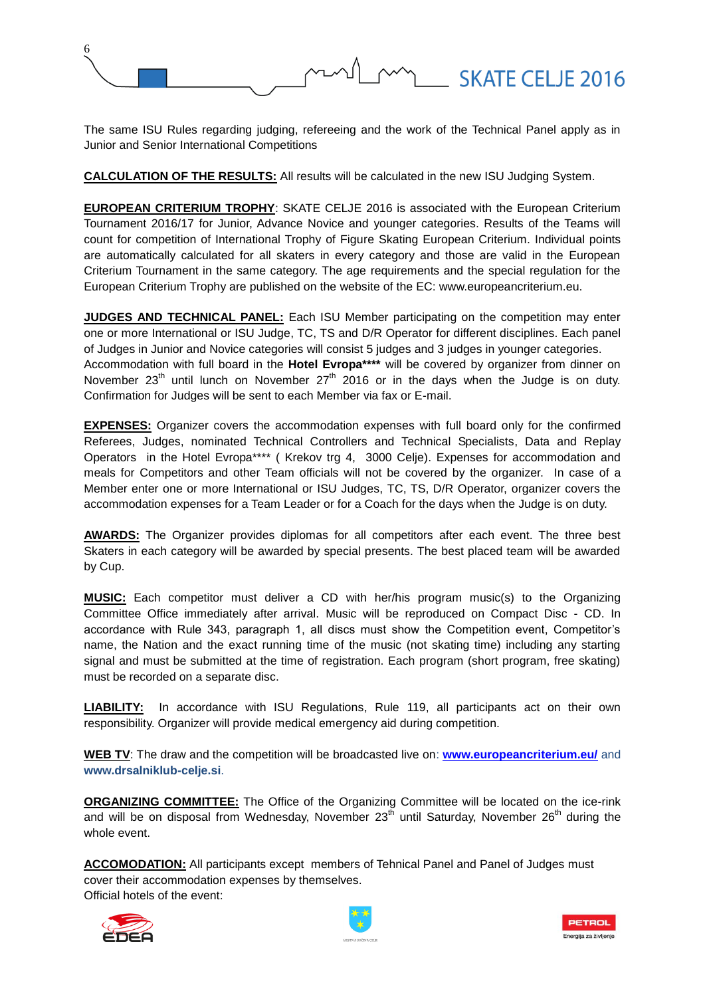

The same ISU Rules regarding judging, refereeing and the work of the Technical Panel apply as in Junior and Senior International Competitions

**CALCULATION OF THE RESULTS:** All results will be calculated in the new ISU Judging System.

**EUROPEAN CRITERIUM TROPHY**: SKATE CELJE 2016 is associated with the European Criterium Tournament 2016/17 for Junior, Advance Novice and younger categories. Results of the Teams will count for competition of International Trophy of Figure Skating European Criterium. Individual points are automatically calculated for all skaters in every category and those are valid in the European Criterium Tournament in the same category. The age requirements and the special regulation for the European Criterium Trophy are published on the website of the EC: www.europeancriterium.eu.

**JUDGES AND TECHNICAL PANEL:** Each ISU Member participating on the competition may enter one or more International or ISU Judge, TC, TS and D/R Operator for different disciplines. Each panel of Judges in Junior and Novice categories will consist 5 judges and 3 judges in younger categories. Accommodation with full board in the **Hotel Evropa\*\*\*\*** will be covered by organizer from dinner on November 23<sup>th</sup> until lunch on November 27<sup>th</sup> 2016 or in the days when the Judge is on duty. Confirmation for Judges will be sent to each Member via fax or E-mail.

**EXPENSES:** Organizer covers the accommodation expenses with full board only for the confirmed Referees, Judges, nominated Technical Controllers and Technical Specialists, Data and Replay Operators in the Hotel Evropa\*\*\*\* ( Krekov trg 4, 3000 Celje). Expenses for accommodation and meals for Competitors and other Team officials will not be covered by the organizer. In case of a Member enter one or more International or ISU Judges, TC, TS, D/R Operator, organizer covers the accommodation expenses for a Team Leader or for a Coach for the days when the Judge is on duty.

**AWARDS:** The Organizer provides diplomas for all competitors after each event. The three best Skaters in each category will be awarded by special presents. The best placed team will be awarded by Cup.

**MUSIC:** Each competitor must deliver a CD with her/his program music(s) to the Organizing Committee Office immediately after arrival. Music will be reproduced on Compact Disc - CD. In accordance with Rule 343, paragraph 1, all discs must show the Competition event, Competitor's name, the Nation and the exact running time of the music (not skating time) including any starting signal and must be submitted at the time of registration. Each program (short program, free skating) must be recorded on a separate disc.

**LIABILITY:** In accordance with ISU Regulations, Rule 119, all participants act on their own responsibility. Organizer will provide medical emergency aid during competition.

**WEB TV**: The draw and the competition will be broadcasted live on: **[www.europeancriterium.eu/](http://www.europeancriterium.eu/)** and **www.drsalniklub-celje.si**.

**ORGANIZING COMMITTEE:** The Office of the Organizing Committee will be located on the ice-rink and will be on disposal from Wednesday, November  $23<sup>th</sup>$  until Saturday, November  $26<sup>th</sup>$  during the whole event.

**ACCOMODATION:** All participants except members of Tehnical Panel and Panel of Judges must cover their accommodation expenses by themselves. Official hotels of the event:





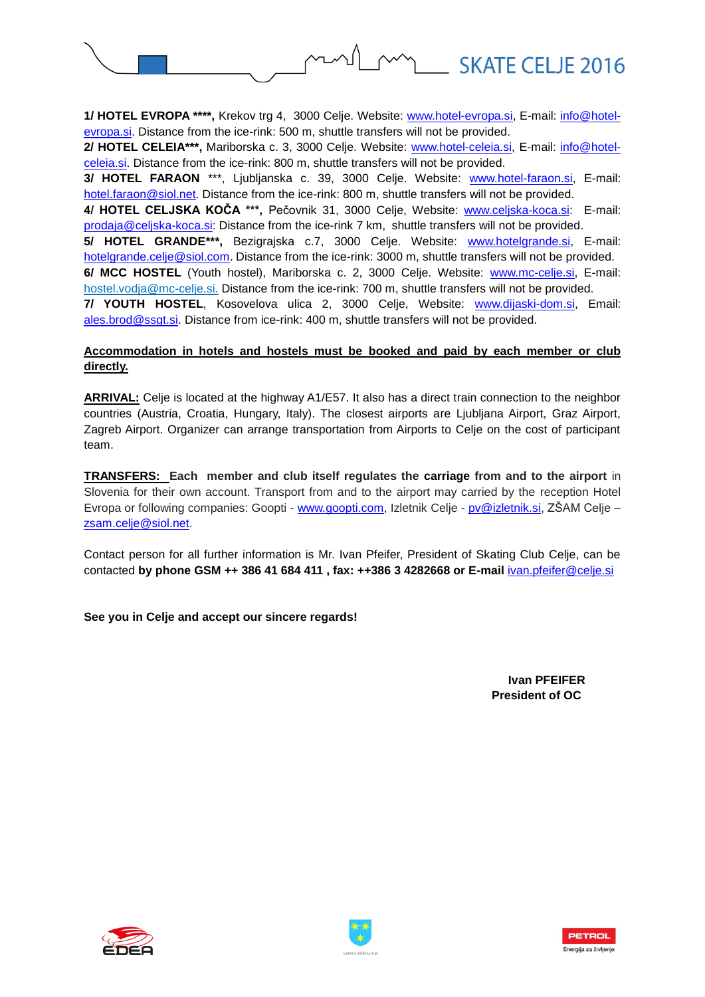

**1/ HOTEL EVROPA \*\*\*\*,** Krekov trg 4, 3000 Celje. Website: [www.hotel-evropa.si,](http://www.hotel-evropa.si/) E-mail: [info@hotel](mailto:info@hotel-evropa.si)[evropa.si.](mailto:info@hotel-evropa.si) Distance from the ice-rink: 500 m, shuttle transfers will not be provided.

**2/ HOTEL CELEIA\*\*\*,** Mariborska c. 3, 3000 Celje. Website: [www.hotel-celeia.si,](http://www.hotel-celeia.si/) E-mail: [info@hotel](mailto:info@hotel-celeia.si)[celeia.si.](mailto:info@hotel-celeia.si) Distance from the ice-rink: 800 m, shuttle transfers will not be provided.

**3/ HOTEL FARAON** \*\*\*, Ljubljanska c. 39, 3000 Celje. Website: [www.hotel-faraon.si,](http://www.hotel-faraon.si/) E-mail: [hotel.faraon@siol.net](mailto:hotel.faraon@siol.net). Distance from the ice-rink: 800 m, shuttle transfers will not be provided.

**4/ HOTEL CELJSKA KOČA \*\*\*,** Pečovnik 31, 3000 Celje, Website: [www.celjska-koca.si:](http://www.celjska-koca.si/) E-mail: [prodaja@celjska-koca.si:](mailto:prodaja@celjska-koca.si) Distance from the ice-rink 7 km, shuttle transfers will not be provided.

**5/ HOTEL GRANDE\*\*\*,** Bezigrajska c.7, 3000 Celje. Website: [www.hotelgrande.si,](http://www.hotelgrande.si/) E-mail: [hotelgrande.celje@siol.com.](mailto:hotelgrande.celje@siol.com) Distance from the ice-rink: 3000 m, shuttle transfers will not be provided.

6/ MCC HOSTEL (Youth hostel), Mariborska c. 2, 3000 Celje. Website: [www.mc-celje.si,](http://www.mc-celje.si/) E-mail: hostel.vodja@mc-celje.si. Distance from the ice-rink: 700 m, shuttle transfers will not be provided.

**7/ YOUTH HOSTEL**, Kosovelova ulica 2, 3000 Celje, Website: [www.dijaski-dom.si,](http://www.dijaski-dom.si/) Email: [ales.brod@ssgt.si.](mailto:ales.brod@ssgt.si) Distance from ice-rink: 400 m, shuttle transfers will not be provided.

## **Accommodation in hotels and hostels must be booked and paid by each member or club directly.**

**ARRIVAL:** Celje is located at the highway A1/E57. It also has a direct train connection to the neighbor countries (Austria, Croatia, Hungary, Italy). The closest airports are Ljubljana Airport, Graz Airport, Zagreb Airport. Organizer can arrange transportation from Airports to Celje on the cost of participant team.

**TRANSFERS: Each member and club itself regulates the carriage from and to the airport** in Slovenia for their own account. Transport from and to the airport may carried by the reception Hotel Evropa or following companies: Goopti - [www.goopti.com,](http://www.goopti.com/) Izletnik Celje - [pv@izletnik.si,](mailto:pv@izletnik.si) ZŠAM Celje – [zsam.celje@siol.net.](mailto:zsam.celje@siol.net)

Contact person for all further information is Mr. Ivan Pfeifer, President of Skating Club Celje, can be contacted by phone GSM ++ 386 41 684 411, fax: ++386 3 4282668 or E-mail *[ivan.pfeifer@celje.si](mailto:ivan.pfeifer@celje.si)* 

## **See you in Celje and accept our sincere regards!**

 **Ivan PFEIFER President of OC**